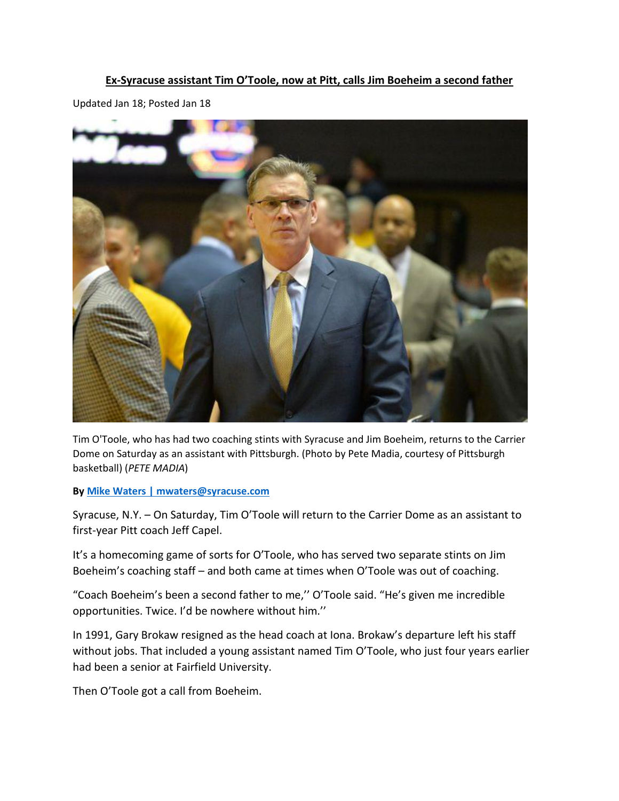#### **Ex-Syracuse assistant Tim O'Toole, now at Pitt, calls Jim Boeheim a second father**

Updated Jan 18; Posted Jan 18



Tim O'Toole, who has had two coaching stints with Syracuse and Jim Boeheim, returns to the Carrier Dome on Saturday as an assistant with Pittsburgh. (Photo by Pete Madia, courtesy of Pittsburgh basketball) (*PETE MADIA*)

**By [Mike Waters | mwaters@syracuse.com](http://connect.syracuse.com/staff/mwaters/posts.html)**

Syracuse, N.Y. – On Saturday, Tim O'Toole will return to the Carrier Dome as an assistant to first-year Pitt coach Jeff Capel.

It's a homecoming game of sorts for O'Toole, who has served two separate stints on Jim Boeheim's coaching staff – and both came at times when O'Toole was out of coaching.

"Coach Boeheim's been a second father to me,'' O'Toole said. "He's given me incredible opportunities. Twice. I'd be nowhere without him.''

In 1991, Gary Brokaw resigned as the head coach at Iona. Brokaw's departure left his staff without jobs. That included a young assistant named Tim O'Toole, who just four years earlier had been a senior at Fairfield University.

Then O'Toole got a call from Boeheim.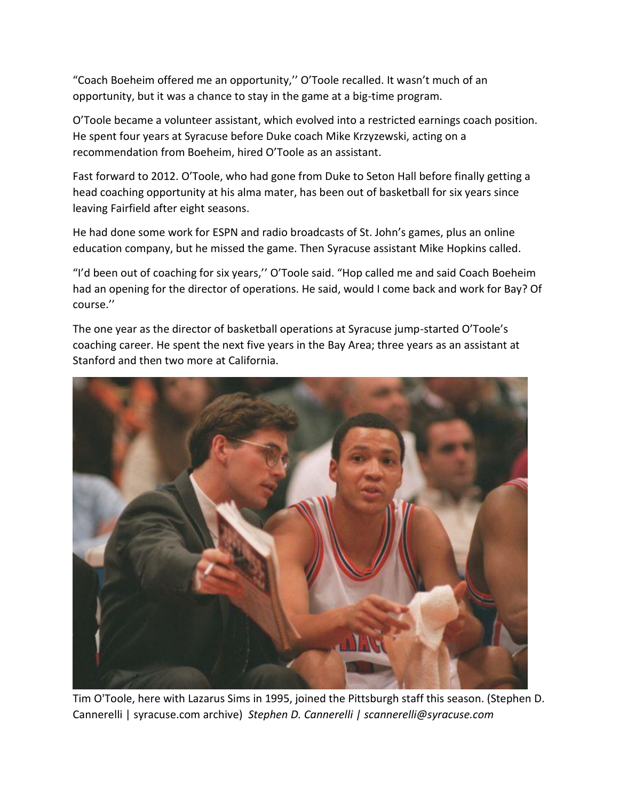"Coach Boeheim offered me an opportunity,'' O'Toole recalled. It wasn't much of an opportunity, but it was a chance to stay in the game at a big-time program.

O'Toole became a volunteer assistant, which evolved into a restricted earnings coach position. He spent four years at Syracuse before Duke coach Mike Krzyzewski, acting on a recommendation from Boeheim, hired O'Toole as an assistant.

Fast forward to 2012. O'Toole, who had gone from Duke to Seton Hall before finally getting a head coaching opportunity at his alma mater, has been out of basketball for six years since leaving Fairfield after eight seasons.

He had done some work for ESPN and radio broadcasts of St. John's games, plus an online education company, but he missed the game. Then Syracuse assistant Mike Hopkins called.

"I'd been out of coaching for six years,'' O'Toole said. "Hop called me and said Coach Boeheim had an opening for the director of operations. He said, would I come back and work for Bay? Of course.''

The one year as the director of basketball operations at Syracuse jump-started O'Toole's coaching career. He spent the next five years in the Bay Area; three years as an assistant at Stanford and then two more at California.



Tim O'Toole, here with Lazarus Sims in 1995, joined the Pittsburgh staff this season. (Stephen D. Cannerelli | syracuse.com archive) *Stephen D. Cannerelli | scannerelli@syracuse.com*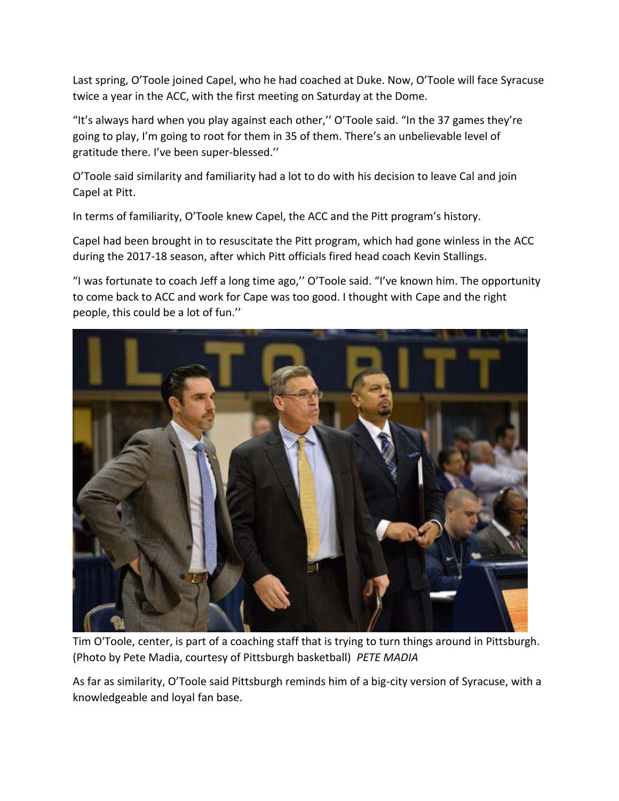Last spring, O'Toole joined Capel, who he had coached at Duke. Now, O'Toole will face Syracuse twice a year in the ACC, with the first meeting on Saturday at the Dome.

"It's always hard when you play against each other,'' O'Toole said. "In the 37 games they're going to play, I'm going to root for them in 35 of them. There's an unbelievable level of gratitude there. I've been super-blessed.''

O'Toole said similarity and familiarity had a lot to do with his decision to leave Cal and join Capel at Pitt.

In terms of familiarity, O'Toole knew Capel, the ACC and the Pitt program's history.

Capel had been brought in to resuscitate the Pitt program, which had gone winless in the ACC during the 2017-18 season, after which Pitt officials fired head coach Kevin Stallings.

"I was fortunate to coach Jeff a long time ago,'' O'Toole said. "I've known him. The opportunity to come back to ACC and work for Cape was too good. I thought with Cape and the right people, this could be a lot of fun.''



Tim O'Toole, center, is part of a coaching staff that is trying to turn things around in Pittsburgh. (Photo by Pete Madia, courtesy of Pittsburgh basketball) *PETE MADIA*

As far as similarity, O'Toole said Pittsburgh reminds him of a big-city version of Syracuse, with a knowledgeable and loyal fan base.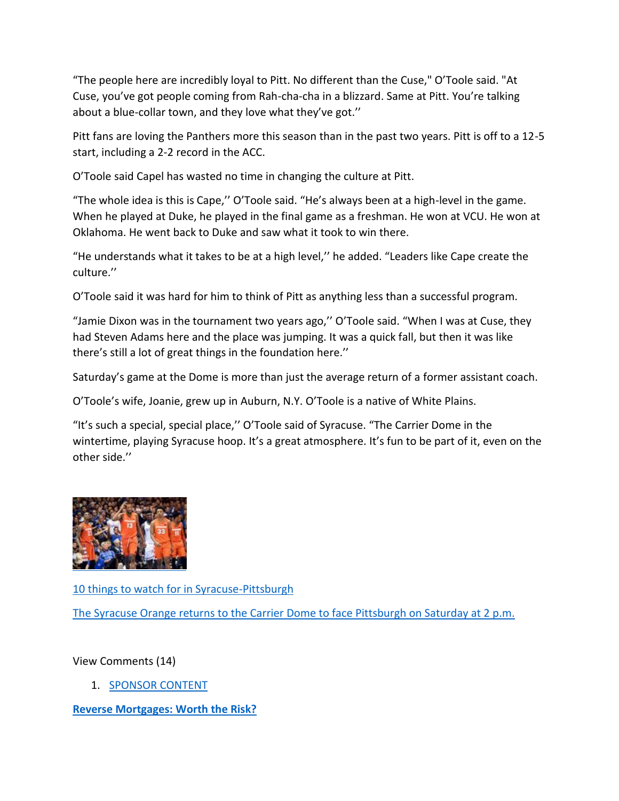"The people here are incredibly loyal to Pitt. No different than the Cuse," O'Toole said. "At Cuse, you've got people coming from Rah-cha-cha in a blizzard. Same at Pitt. You're talking about a blue-collar town, and they love what they've got.''

Pitt fans are loving the Panthers more this season than in the past two years. Pitt is off to a 12-5 start, including a 2-2 record in the ACC.

O'Toole said Capel has wasted no time in changing the culture at Pitt.

"The whole idea is this is Cape,'' O'Toole said. "He's always been at a high-level in the game. When he played at Duke, he played in the final game as a freshman. He won at VCU. He won at Oklahoma. He went back to Duke and saw what it took to win there.

"He understands what it takes to be at a high level,'' he added. "Leaders like Cape create the culture.''

O'Toole said it was hard for him to think of Pitt as anything less than a successful program.

"Jamie Dixon was in the tournament two years ago,'' O'Toole said. "When I was at Cuse, they had Steven Adams here and the place was jumping. It was a quick fall, but then it was like there's still a lot of great things in the foundation here.''

Saturday's game at the Dome is more than just the average return of a former assistant coach.

O'Toole's wife, Joanie, grew up in Auburn, N.Y. O'Toole is a native of White Plains.

"It's such a special, special place,'' O'Toole said of Syracuse. "The Carrier Dome in the wintertime, playing Syracuse hoop. It's a great atmosphere. It's fun to be part of it, even on the other side.''



[10 things to watch for in Syracuse-Pittsburgh](https://www.syracuse.com/expo/sports/g66l-2019/01/86dfc824d5530/syracuse-basketball-vs-pittsburgh-10-things-to-watch-for.html)

[The Syracuse Orange returns to the Carrier Dome to face Pittsburgh on Saturday at 2 p.m.](https://www.syracuse.com/expo/sports/g66l-2019/01/86dfc824d5530/syracuse-basketball-vs-pittsburgh-10-things-to-watch-for.html)

View Comments (14)

1. [SPONSOR CONTENT](https://jadserve.postrelease.com/trk?ntv_at=3&ntv_ui=91bd0444-a55d-4e20-8de3-a9b622a13422&ntv_a=CncEAaLswA2bYQA&ntv_fl=-YNQb7Lo_nLKsmkJxKHzjA==&ord=1437697579&ntv_ht=rvVEXAA&ntv_tad=16&prx_referrer=https%3A%2F%2Ft.co%2F5qkqZf14Yn&ntv_az=iLr1Pbdq9T2IuvU9&ntv_al=MHOyYDBzsmE=&ntv_ak=vbEcTP34HEy9sRxM&ntv_r=https://ck.lendingtree.com/?a=448&c=2832&p=c&s1=hearst&mtaid=0B072&ctype=sponsoredcontent&cmethod=rmchangesright&ccreative=rmworthrisk_srcouplehiking&ad_headline=rmworthrisk&ad_image_name=srcouplehiking&ntv_a=CncEAaLswA2bYQA)

**[Reverse Mortgages: Worth the Risk?](https://jadserve.postrelease.com/trk?ntv_at=3&ntv_ui=91bd0444-a55d-4e20-8de3-a9b622a13422&ntv_a=CncEAaLswA2bYQA&ntv_fl=-YNQb7Lo_nLKsmkJxKHzjA==&ord=1437697579&ntv_ht=rvVEXAA&ntv_tad=16&prx_referrer=https%3A%2F%2Ft.co%2F5qkqZf14Yn&ntv_az=iLr1Pbdq9T2IuvU9&ntv_al=MHOyYDBzsmE=&ntv_ak=vbEcTP34HEy9sRxM&ntv_r=https://ck.lendingtree.com/?a=448&c=2832&p=c&s1=hearst&mtaid=0B072&ctype=sponsoredcontent&cmethod=rmchangesright&ccreative=rmworthrisk_srcouplehiking&ad_headline=rmworthrisk&ad_image_name=srcouplehiking&ntv_a=CncEAaLswA2bYQA)**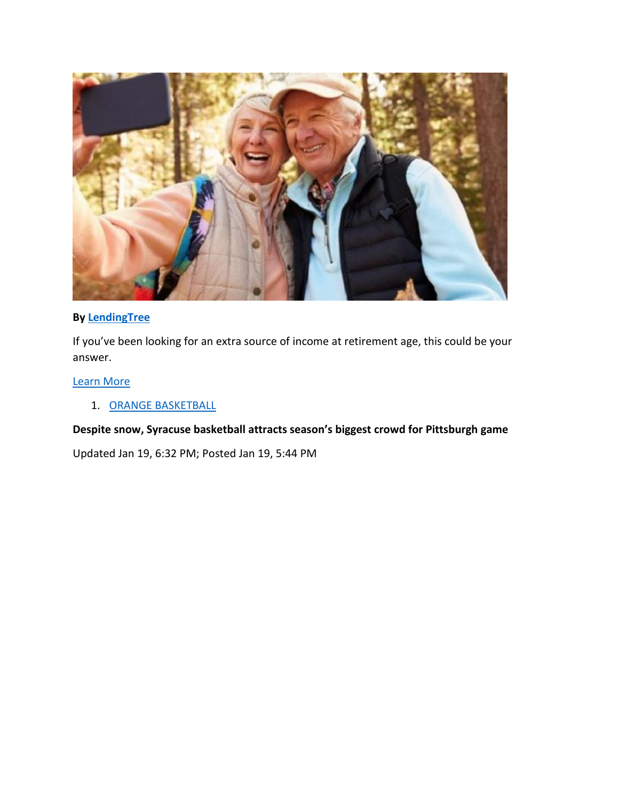

### **By [LendingTree](https://jadserve.postrelease.com/trk?ntv_at=3&ntv_ui=91bd0444-a55d-4e20-8de3-a9b622a13422&ntv_a=CncEAaLswA2bYQA&ntv_fl=-YNQb7Lo_nLKsmkJxKHzjA==&ord=1437697579&ntv_ht=rvVEXAA&ntv_tad=16&prx_referrer=https%3A%2F%2Ft.co%2F5qkqZf14Yn&ntv_az=iLr1Pbdq9T2IuvU9&ntv_al=MHOyYDBzsmE=&ntv_ak=vbEcTP34HEy9sRxM&ntv_r=https://ck.lendingtree.com/?a=448&c=2832&p=c&s1=hearst&mtaid=0B072&ctype=sponsoredcontent&cmethod=rmchangesright&ccreative=rmworthrisk_srcouplehiking&ad_headline=rmworthrisk&ad_image_name=srcouplehiking&ntv_a=CncEAaLswA2bYQA)**

If you've been looking for an extra source of income at retirement age, this could be your answer.

### [Learn More](https://jadserve.postrelease.com/trk?ntv_at=3&ntv_ui=91bd0444-a55d-4e20-8de3-a9b622a13422&ntv_a=CncEAaLswA2bYQA&ntv_fl=-YNQb7Lo_nLKsmkJxKHzjA==&ord=1437697579&ntv_ht=rvVEXAA&ntv_tad=16&prx_referrer=https%3A%2F%2Ft.co%2F5qkqZf14Yn&ntv_az=iLr1Pbdq9T2IuvU9&ntv_al=MHOyYDBzsmE=&ntv_ak=vbEcTP34HEy9sRxM&ntv_r=https://ck.lendingtree.com/?a=448&c=2832&p=c&s1=hearst&mtaid=0B072&ctype=sponsoredcontent&cmethod=rmchangesright&ccreative=rmworthrisk_srcouplehiking&ad_headline=rmworthrisk&ad_image_name=srcouplehiking&ntv_a=CncEAaLswA2bYQA)

# 1. [ORANGE BASKETBALL](https://www.syracuse.com/orangebasketball)

### **Despite snow, Syracuse basketball attracts season's biggest crowd for Pittsburgh game**

Updated Jan 19, 6:32 PM; Posted Jan 19, 5:44 PM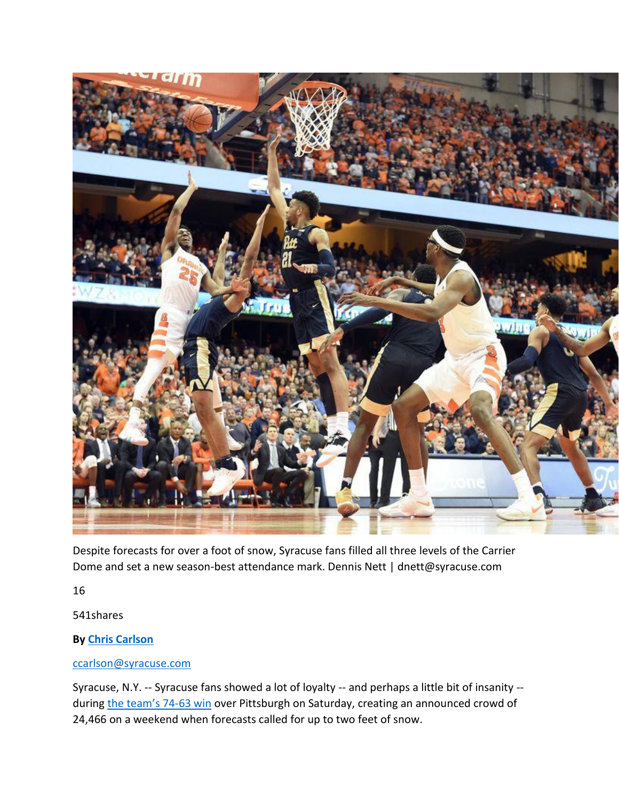

Despite forecasts for over a foot of snow, Syracuse fans filled all three levels of the Carrier Dome and set a new season-best attendance mark. Dennis Nett | dnett@syracuse.com

16

541shares

# **By [Chris Carlson](https://connect.syracuse.com/staff/chriscarlson/posts.html)**

### [ccarlson@syracuse.com](mailto:ccarlson@syracuse.com)

Syracuse, N.Y. -- Syracuse fans showed a lot of loyalty -- and perhaps a little bit of insanity - during [the team's 74](https://www.syracuse.com/orangebasketball/2019/01/defense-helps-syracuse-basketball-break-open-close-game-beat-pittsburgh-74-63.html)-63 win over Pittsburgh on Saturday, creating an announced crowd of 24,466 on a weekend when forecasts called for up to two feet of snow.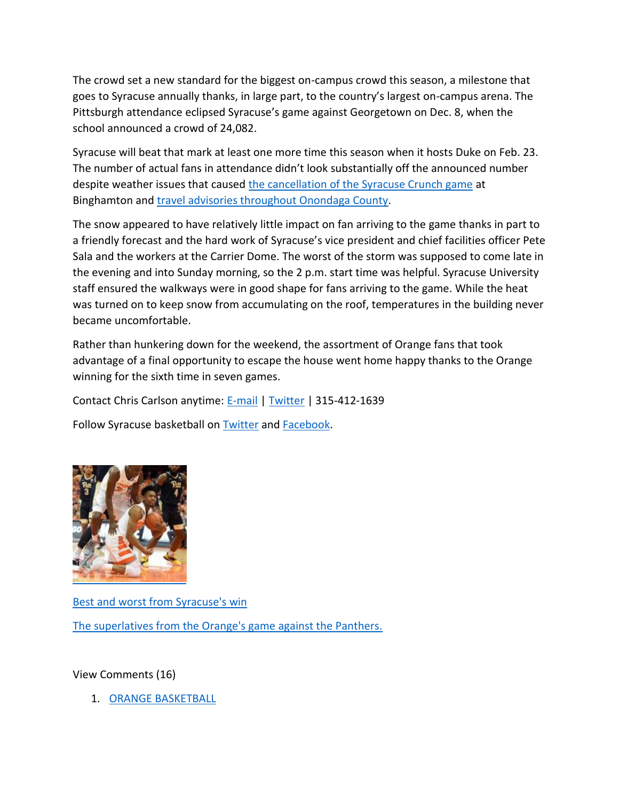The crowd set a new standard for the biggest on-campus crowd this season, a milestone that goes to Syracuse annually thanks, in large part, to the country's largest on-campus arena. The Pittsburgh attendance eclipsed Syracuse's game against Georgetown on Dec. 8, when the school announced a crowd of 24,082.

Syracuse will beat that mark at least one more time this season when it hosts Duke on Feb. 23. The number of actual fans in attendance didn't look substantially off the announced number despite weather issues that caused [the cancellation of the Syracuse Crunch game](https://www.syracuse.com/crunch/2019/01/storm-postpones-syracuse-crunch-game-in-binghamton.html) at Binghamton and [travel advisories throughout Onondaga County.](https://www.syracuse.com/crime/2019/01/travel-advisory-issued-for-onondaga-county.html)

The snow appeared to have relatively little impact on fan arriving to the game thanks in part to a friendly forecast and the hard work of Syracuse's vice president and chief facilities officer Pete Sala and the workers at the Carrier Dome. The worst of the storm was supposed to come late in the evening and into Sunday morning, so the 2 p.m. start time was helpful. Syracuse University staff ensured the walkways were in good shape for fans arriving to the game. While the heat was turned on to keep snow from accumulating on the roof, temperatures in the building never became uncomfortable.

Rather than hunkering down for the weekend, the assortment of Orange fans that took advantage of a final opportunity to escape the house went home happy thanks to the Orange winning for the sixth time in seven games.

Contact Chris Carlson anytime: [E-mail](mailto:ccarlson@syracuse.com) | [Twitter](https://twitter.com/ccarlsononSU) | 315-412-1639

Follow Syracuse basketball on **[Twitter](https://twitter.com/syrbasketball)** and **Facebook**.



[Best and worst from Syracuse's win](https://www.syracuse.com/expo/sports/g66l-2019/01/4b6bf6b3611870/best-and-worst-from-syracuse-basketball-vs-pittsburgh.html) [The superlatives from the Orange's game against the Panthers.](https://www.syracuse.com/expo/sports/g66l-2019/01/4b6bf6b3611870/best-and-worst-from-syracuse-basketball-vs-pittsburgh.html)

View Comments (16)

1. [ORANGE BASKETBALL](https://www.syracuse.com/orangebasketball)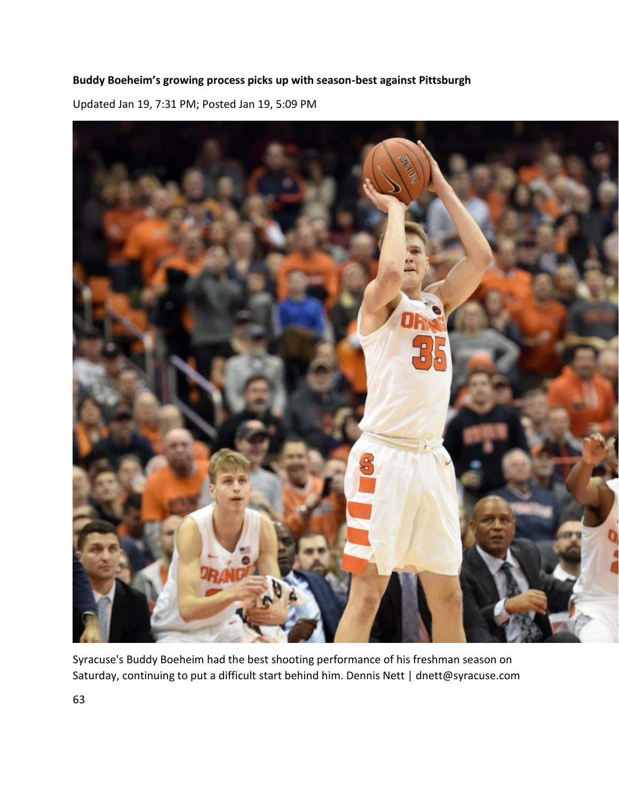# **Buddy Boeheim's growing process picks up with season-best against Pittsburgh**

Updated Jan 19, 7:31 PM; Posted Jan 19, 5:09 PM



Syracuse's Buddy Boeheim had the best shooting performance of his freshman season on Saturday, continuing to put a difficult start behind him. Dennis Nett | dnett@syracuse.com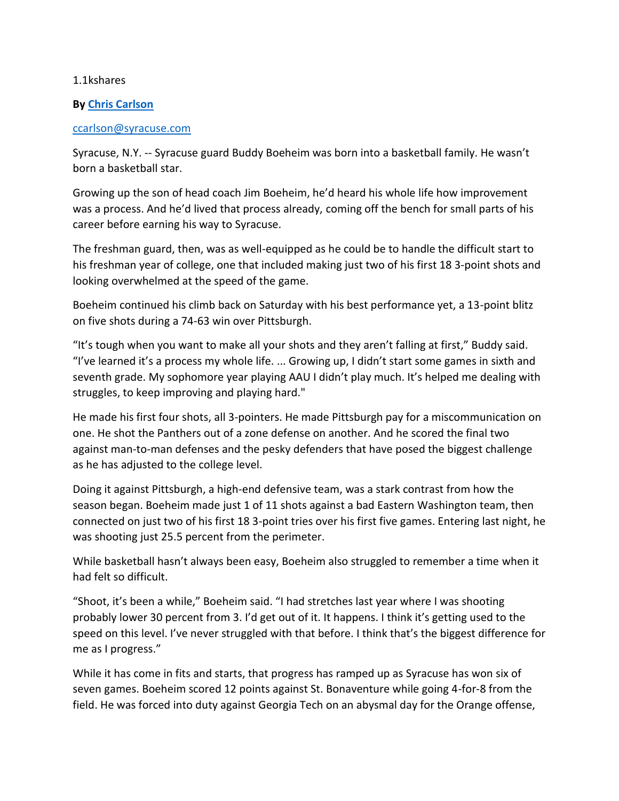#### 1.1kshares

#### **By [Chris Carlson](https://connect.syracuse.com/staff/chriscarlson/posts.html)**

#### [ccarlson@syracuse.com](mailto:ccarlson@syracuse.com)

Syracuse, N.Y. -- Syracuse guard Buddy Boeheim was born into a basketball family. He wasn't born a basketball star.

Growing up the son of head coach Jim Boeheim, he'd heard his whole life how improvement was a process. And he'd lived that process already, coming off the bench for small parts of his career before earning his way to Syracuse.

The freshman guard, then, was as well-equipped as he could be to handle the difficult start to his freshman year of college, one that included making just two of his first 18 3-point shots and looking overwhelmed at the speed of the game.

Boeheim continued his climb back on Saturday with his best performance yet, a 13-point blitz on five shots during a 74-63 win over Pittsburgh.

"It's tough when you want to make all your shots and they aren't falling at first," Buddy said. "I've learned it's a process my whole life. ... Growing up, I didn't start some games in sixth and seventh grade. My sophomore year playing AAU I didn't play much. It's helped me dealing with struggles, to keep improving and playing hard."

He made his first four shots, all 3-pointers. He made Pittsburgh pay for a miscommunication on one. He shot the Panthers out of a zone defense on another. And he scored the final two against man-to-man defenses and the pesky defenders that have posed the biggest challenge as he has adjusted to the college level.

Doing it against Pittsburgh, a high-end defensive team, was a stark contrast from how the season began. Boeheim made just 1 of 11 shots against a bad Eastern Washington team, then connected on just two of his first 18 3-point tries over his first five games. Entering last night, he was shooting just 25.5 percent from the perimeter.

While basketball hasn't always been easy, Boeheim also struggled to remember a time when it had felt so difficult.

"Shoot, it's been a while," Boeheim said. "I had stretches last year where I was shooting probably lower 30 percent from 3. I'd get out of it. It happens. I think it's getting used to the speed on this level. I've never struggled with that before. I think that's the biggest difference for me as I progress."

While it has come in fits and starts, that progress has ramped up as Syracuse has won six of seven games. Boeheim scored 12 points against St. Bonaventure while going 4-for-8 from the field. He was forced into duty against Georgia Tech on an abysmal day for the Orange offense,